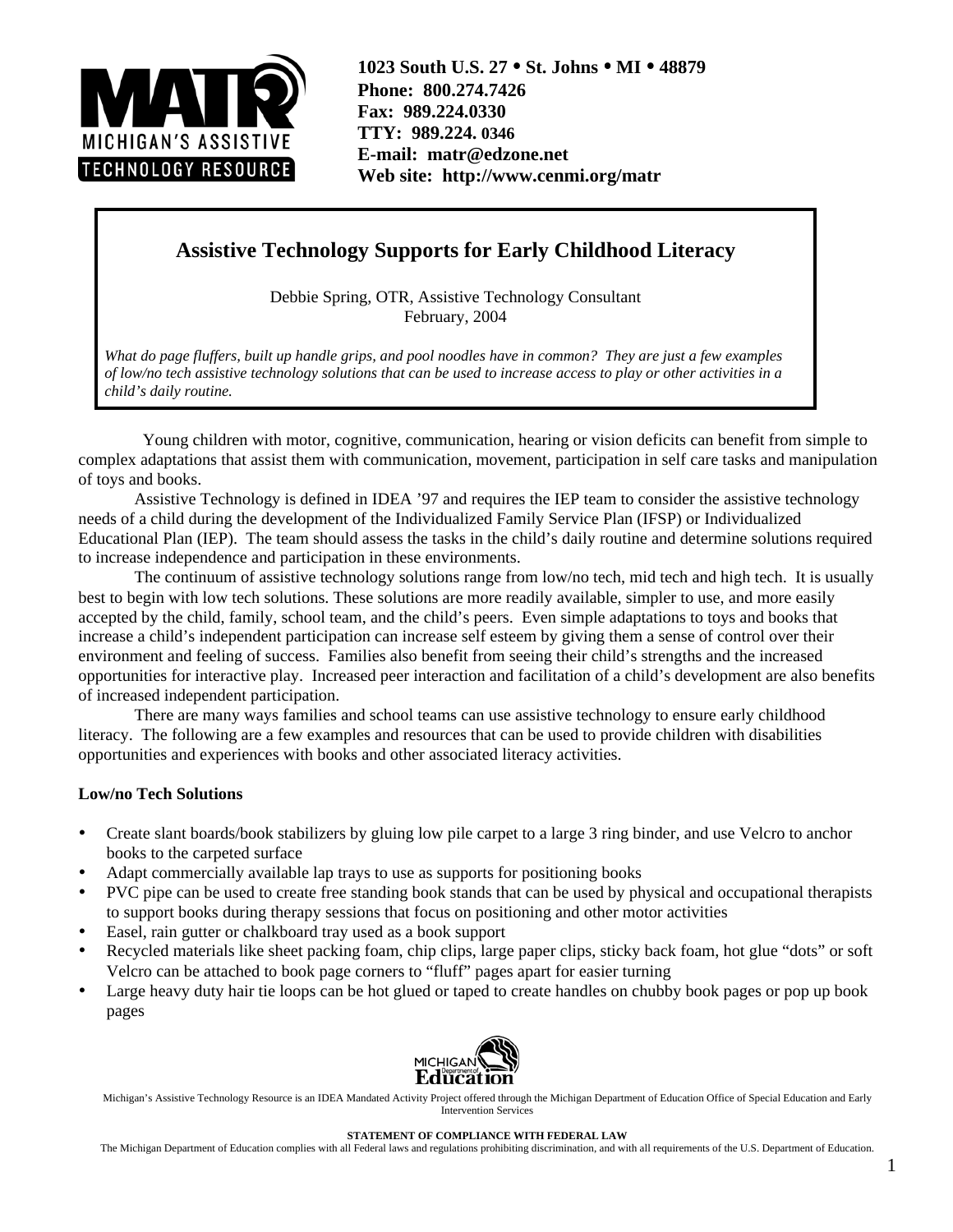

**1023 South U.S. 27** • **St. Johns** • **MI** • **48879 Phone: 800.274.7426 Fax: 989.224.0330 TTY: 989.224. 0346 E-mail: matr@edzone.net Web site: http://www.cenmi.org/matr**

# **Assistive Technology Supports for Early Childhood Literacy**

Debbie Spring, OTR, Assistive Technology Consultant February, 2004

*What do page fluffers, built up handle grips, and pool noodles have in common? They are just a few examples of low/no tech assistive technology solutions that can be used to increase access to play or other activities in a child's daily routine.*

 Young children with motor, cognitive, communication, hearing or vision deficits can benefit from simple to complex adaptations that assist them with communication, movement, participation in self care tasks and manipulation of toys and books.

Assistive Technology is defined in IDEA '97 and requires the IEP team to consider the assistive technology needs of a child during the development of the Individualized Family Service Plan (IFSP) or Individualized Educational Plan (IEP). The team should assess the tasks in the child's daily routine and determine solutions required to increase independence and participation in these environments.

The continuum of assistive technology solutions range from low/no tech, mid tech and high tech. It is usually best to begin with low tech solutions. These solutions are more readily available, simpler to use, and more easily accepted by the child, family, school team, and the child's peers. Even simple adaptations to toys and books that increase a child's independent participation can increase self esteem by giving them a sense of control over their environment and feeling of success. Families also benefit from seeing their child's strengths and the increased opportunities for interactive play. Increased peer interaction and facilitation of a child's development are also benefits of increased independent participation.

There are many ways families and school teams can use assistive technology to ensure early childhood literacy. The following are a few examples and resources that can be used to provide children with disabilities opportunities and experiences with books and other associated literacy activities.

#### **Low/no Tech Solutions**

- Create slant boards/book stabilizers by gluing low pile carpet to a large 3 ring binder, and use Velcro to anchor books to the carpeted surface
- Adapt commercially available lap trays to use as supports for positioning books
- PVC pipe can be used to create free standing book stands that can be used by physical and occupational therapists to support books during therapy sessions that focus on positioning and other motor activities
- Easel, rain gutter or chalkboard tray used as a book support
- Recycled materials like sheet packing foam, chip clips, large paper clips, sticky back foam, hot glue "dots" or soft Velcro can be attached to book page corners to "fluff" pages apart for easier turning
- Large heavy duty hair tie loops can be hot glued or taped to create handles on chubby book pages or pop up book pages



Michigan's Assistive Technology Resource is an IDEA Mandated Activity Project offered through the Michigan Department of Education Office of Special Education and Early Intervention Services

#### **STATEMENT OF COMPLIANCE WITH FEDERAL LAW**

The Michigan Department of Education complies with all Federal laws and regulations prohibiting discrimination, and with all requirements of the U.S. Department of Education.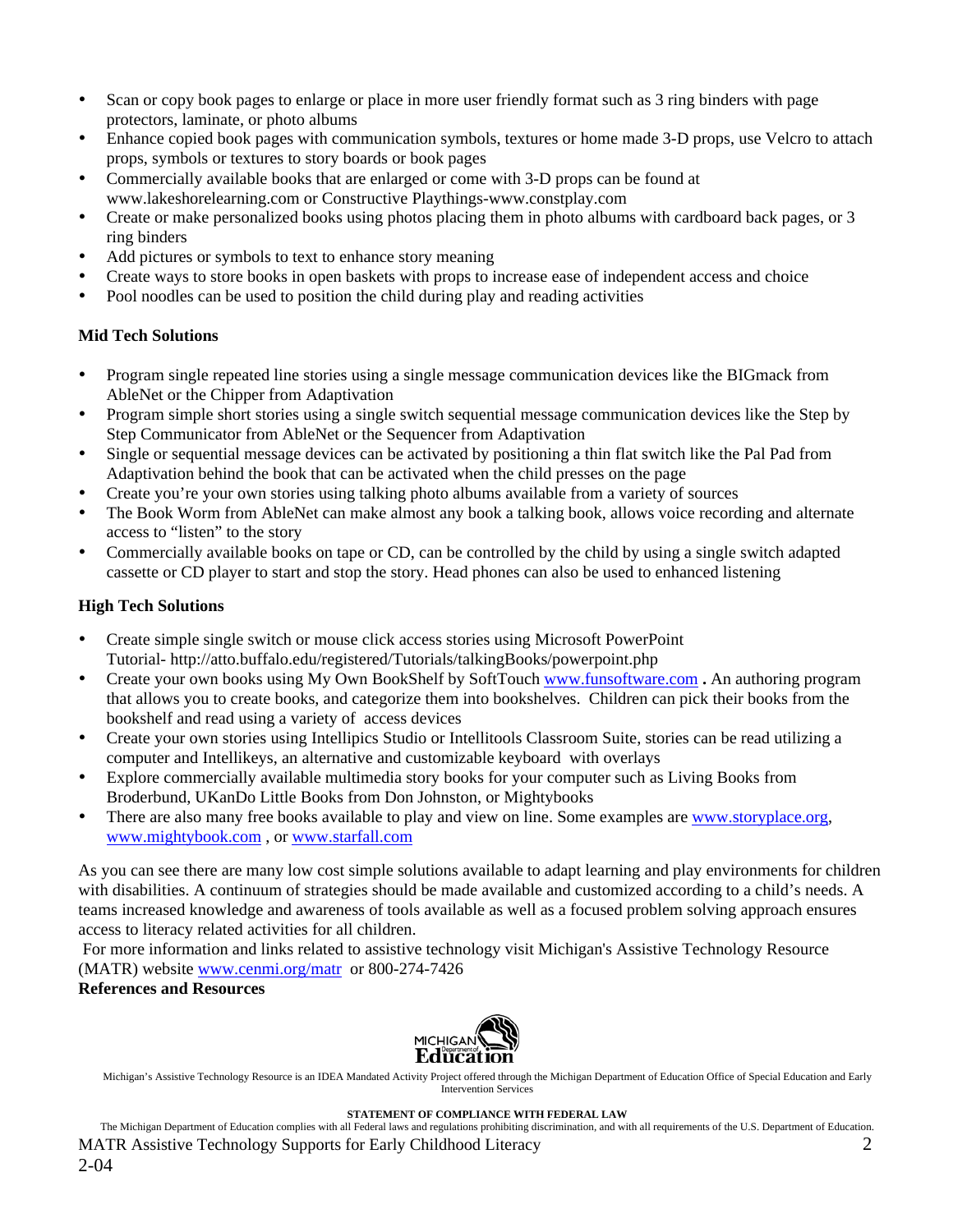- Scan or copy book pages to enlarge or place in more user friendly format such as 3 ring binders with page protectors, laminate, or photo albums
- Enhance copied book pages with communication symbols, textures or home made 3-D props, use Velcro to attach props, symbols or textures to story boards or book pages
- Commercially available books that are enlarged or come with 3-D props can be found at www.lakeshorelearning.com or Constructive Playthings-www.constplay.com
- Create or make personalized books using photos placing them in photo albums with cardboard back pages, or 3 ring binders
- Add pictures or symbols to text to enhance story meaning
- Create ways to store books in open baskets with props to increase ease of independent access and choice
- Pool noodles can be used to position the child during play and reading activities

# **Mid Tech Solutions**

- Program single repeated line stories using a single message communication devices like the BIGmack from AbleNet or the Chipper from Adaptivation
- Program simple short stories using a single switch sequential message communication devices like the Step by Step Communicator from AbleNet or the Sequencer from Adaptivation
- Single or sequential message devices can be activated by positioning a thin flat switch like the Pal Pad from Adaptivation behind the book that can be activated when the child presses on the page
- Create you're your own stories using talking photo albums available from a variety of sources
- The Book Worm from AbleNet can make almost any book a talking book, allows voice recording and alternate access to "listen" to the story
- Commercially available books on tape or CD, can be controlled by the child by using a single switch adapted cassette or CD player to start and stop the story. Head phones can also be used to enhanced listening

# **High Tech Solutions**

- Create simple single switch or mouse click access stories using Microsoft PowerPoint Tutorial- http://atto.buffalo.edu/registered/Tutorials/talkingBooks/powerpoint.php
- Create your own books using My Own BookShelf by SoftTouch www.funsoftware.com **.** An authoring program that allows you to create books, and categorize them into bookshelves. Children can pick their books from the bookshelf and read using a variety of access devices
- Create your own stories using Intellipics Studio or Intellitools Classroom Suite, stories can be read utilizing a computer and Intellikeys, an alternative and customizable keyboard with overlays
- Explore commercially available multimedia story books for your computer such as Living Books from Broderbund, UKanDo Little Books from Don Johnston, or Mightybooks
- There are also many free books available to play and view on line. Some examples are www.storyplace.org, www.mightybook.com , or www.starfall.com

As you can see there are many low cost simple solutions available to adapt learning and play environments for children with disabilities. A continuum of strategies should be made available and customized according to a child's needs. A teams increased knowledge and awareness of tools available as well as a focused problem solving approach ensures access to literacy related activities for all children.

 For more information and links related to assistive technology visit Michigan's Assistive Technology Resource (MATR) website www.cenmi.org/matr or 800-274-7426

# **References and Resources**



Michigan's Assistive Technology Resource is an IDEA Mandated Activity Project offered through the Michigan Department of Education Office of Special Education and Early Intervention Services

#### **STATEMENT OF COMPLIANCE WITH FEDERAL LAW**

The Michigan Department of Education complies with all Federal laws and regulations prohibiting discrimination, and with all requirements of the U.S. Department of Education. MATR Assistive Technology Supports for Early Childhood Literacy 2 2-04